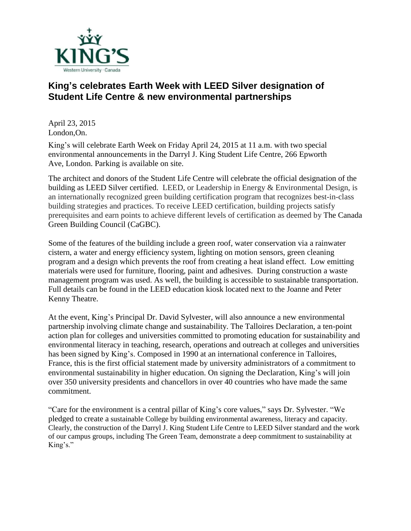

## **King's celebrates Earth Week with LEED Silver designation of Student Life Centre & new environmental partnerships**

April 23, 2015 London,On.

King's will celebrate Earth Week on Friday April 24, 2015 at 11 a.m. with two special environmental announcements in the Darryl J. King Student Life Centre, 266 Epworth Ave, London. Parking is available on site.

The architect and donors of the Student Life Centre will celebrate the official designation of the building as LEED Silver certified. LEED, or Leadership in Energy & Environmental Design, is an internationally recognized green building certification program that recognizes best-in-class building strategies and practices. To receive LEED certification, building projects satisfy prerequisites and earn points to achieve different levels of certification as deemed by The Canada Green Building Council (CaGBC).

Some of the features of the building include a green roof, water conservation via a rainwater cistern, a water and energy efficiency system, lighting on motion sensors, green cleaning program and a design which prevents the roof from creating a heat island effect. Low emitting materials were used for furniture, flooring, paint and adhesives. During construction a waste management program was used. As well, the building is accessible to sustainable transportation. Full details can be found in the LEED education kiosk located next to the Joanne and Peter Kenny Theatre.

At the event, King's Principal Dr. David Sylvester, will also announce a new environmental partnership involving climate change and sustainability. The Talloires Declaration, a ten-point action plan for colleges and universities committed to promoting education for sustainability and environmental literacy in teaching, research, operations and outreach at colleges and universities has been signed by King's. Composed in 1990 at an international conference in Talloires, France, this is the first official statement made by university administrators of a commitment to environmental sustainability in higher education. On signing the Declaration, King's will join over 350 university presidents and chancellors in over 40 countries who have made the same commitment.

"Care for the environment is a central pillar of King's core values," says Dr. Sylvester. "We pledged to create a sustainable College by building environmental awareness, literacy and capacity. Clearly, the construction of the Darryl J. King Student Life Centre to LEED Silver standard and the work of our campus groups, including The Green Team, demonstrate a deep commitment to sustainability at King's."